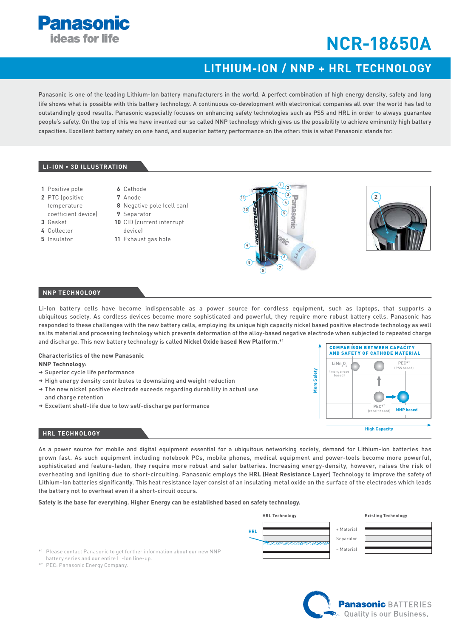

# **NCR-18650A**

## LITHIUM-ION / NNP + HRL TECHNOLOGY

Panasonic is one of the leading Lithium-Ion battery manufacturers in the world. A perfect combination of high energy density, safety and long life shows what is possible with this battery technology. A continuous co-development with electronical companies all over the world has led to outstandingly good results. Panasonic especially focuses on enhancing safety technologies such as PSS and HRL in order to always guarantee people's safety. On the top of this we have invented our so called NNP technology which gives us the possibility to achieve eminently high battery capacities. Excellent battery safety on one hand, and superior battery performance on the other: this is what Panasonic stands for.

#### LI-ION . 3D ILLUSTRATION

- 1 Positive pole
- 2 PTC (positive
- temperature
- coefficient device)
- $2$  Gackot L. Collector
- 
- 5 Insulator
- 9 Separator

6 Cathode

 $7 Ande$ 

- 10 CID (current interrupt deviral
	- 11 Exhaust gas hole

8 Negative pole (cell can)





#### **NNP TECHNOLOGY**

Li-lon battery cells have become indispensable as a power source for cordless equipment, such as laptops, that supports a ubiquitous society. As cordless devices become more sophisticated and powerful, they require more robust battery cells. Panasonic has responded to these challenges with the new battery cells, employing its unique high capacity nickel based positive electrode technology as well as its material and processing technology which prevents deformation of the alloy-based negative electrode when subjected to repeated charge and discharge. This new battery technology is called Nickel Oxide based New Platform.\*1

#### **Characteristics of the new Panasonic NNP Technology:**

- → Superior cycle life performance
- $\rightarrow$  High energy density contributes to downsizing and weight reduction
- $\rightarrow$  The new nickel positive electrode exceeds regarding durability in actual use and charge retention
- → Excellent shelf-life due to low self-discharge performance



#### **HRL TECHNOLOGY**

As a power source for mobile and digital equipment essential for a ubiquitous networking society, demand for Lithium-Ion batteries has grown fast. As such equipment including notebook PCs, mobile phones, medical equipment and power-tools become more powerful, sophisticated and feature-laden, they require more robust and safer batteries. Increasing energy-density, however, raises the risk of overheating and igniting due to short-circuiting. Panasonic employs the HRL (Heat Resistance Layer) Technology to improve the safety of Lithium-lon batteries significantly. This heat resistance layer consist of an insulating metal oxide on the surface of the electrodes which leads the battery not to overheat even if a short-circuit occurs.

#### Safety is the base for everything. Higher Energy can be established based on safety technology.



More Safety

\*1 Please contact Panasonic to get further information about our new NNP battery series and our entire Li-Ion line-up.

\*<sup>2</sup> PEC: Panasonic Energy Company